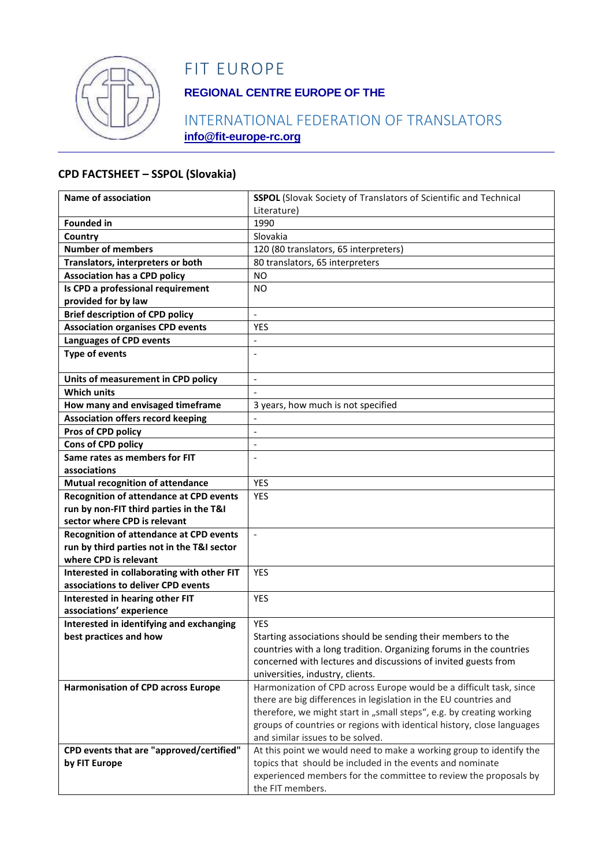

## FIT EUROPE

## **REGIONAL CENTRE EUROPE OF THE**

## INTERNATIONAL FEDERATION OF TRANSLATORS **info@fit-europe-rc.org**

#### **CPD FACTSHEET – SSPOL (Slovakia)**

| Name of association                            | <b>SSPOL</b> (Slovak Society of Translators of Scientific and Technical                                                                        |
|------------------------------------------------|------------------------------------------------------------------------------------------------------------------------------------------------|
|                                                | Literature)                                                                                                                                    |
| <b>Founded in</b>                              | 1990                                                                                                                                           |
| Country                                        | Slovakia                                                                                                                                       |
| <b>Number of members</b>                       | 120 (80 translators, 65 interpreters)                                                                                                          |
| Translators, interpreters or both              | 80 translators, 65 interpreters                                                                                                                |
| <b>Association has a CPD policy</b>            | <b>NO</b>                                                                                                                                      |
| Is CPD a professional requirement              | <b>NO</b>                                                                                                                                      |
| provided for by law                            |                                                                                                                                                |
| <b>Brief description of CPD policy</b>         | $\frac{1}{2}$                                                                                                                                  |
| <b>Association organises CPD events</b>        | YES                                                                                                                                            |
| <b>Languages of CPD events</b>                 | $\overline{\phantom{a}}$                                                                                                                       |
| <b>Type of events</b>                          | $\overline{a}$                                                                                                                                 |
|                                                |                                                                                                                                                |
| Units of measurement in CPD policy             | $\blacksquare$                                                                                                                                 |
| <b>Which units</b>                             |                                                                                                                                                |
| How many and envisaged timeframe               | 3 years, how much is not specified                                                                                                             |
| <b>Association offers record keeping</b>       |                                                                                                                                                |
| Pros of CPD policy                             | $\overline{a}$                                                                                                                                 |
| Cons of CPD policy                             | $\blacksquare$                                                                                                                                 |
| Same rates as members for FIT                  | $\overline{a}$                                                                                                                                 |
| associations                                   |                                                                                                                                                |
| <b>Mutual recognition of attendance</b>        | <b>YES</b>                                                                                                                                     |
| <b>Recognition of attendance at CPD events</b> | <b>YES</b>                                                                                                                                     |
| run by non-FIT third parties in the T&I        |                                                                                                                                                |
| sector where CPD is relevant                   |                                                                                                                                                |
| <b>Recognition of attendance at CPD events</b> | $\mathbf{r}$                                                                                                                                   |
| run by third parties not in the T&I sector     |                                                                                                                                                |
| where CPD is relevant                          |                                                                                                                                                |
| Interested in collaborating with other FIT     | <b>YES</b>                                                                                                                                     |
| associations to deliver CPD events             |                                                                                                                                                |
| Interested in hearing other FIT                | <b>YES</b>                                                                                                                                     |
| associations' experience                       |                                                                                                                                                |
| Interested in identifying and exchanging       | <b>YES</b>                                                                                                                                     |
| best practices and how                         | Starting associations should be sending their members to the                                                                                   |
|                                                | countries with a long tradition. Organizing forums in the countries                                                                            |
|                                                | concerned with lectures and discussions of invited guests from                                                                                 |
|                                                | universities, industry, clients.                                                                                                               |
| <b>Harmonisation of CPD across Europe</b>      | Harmonization of CPD across Europe would be a difficult task, since                                                                            |
|                                                | there are big differences in legislation in the EU countries and                                                                               |
|                                                | therefore, we might start in "small steps", e.g. by creating working<br>groups of countries or regions with identical history, close languages |
|                                                | and similar issues to be solved.                                                                                                               |
| CPD events that are "approved/certified"       | At this point we would need to make a working group to identify the                                                                            |
| by FIT Europe                                  | topics that should be included in the events and nominate                                                                                      |
|                                                | experienced members for the committee to review the proposals by                                                                               |
|                                                | the FIT members.                                                                                                                               |